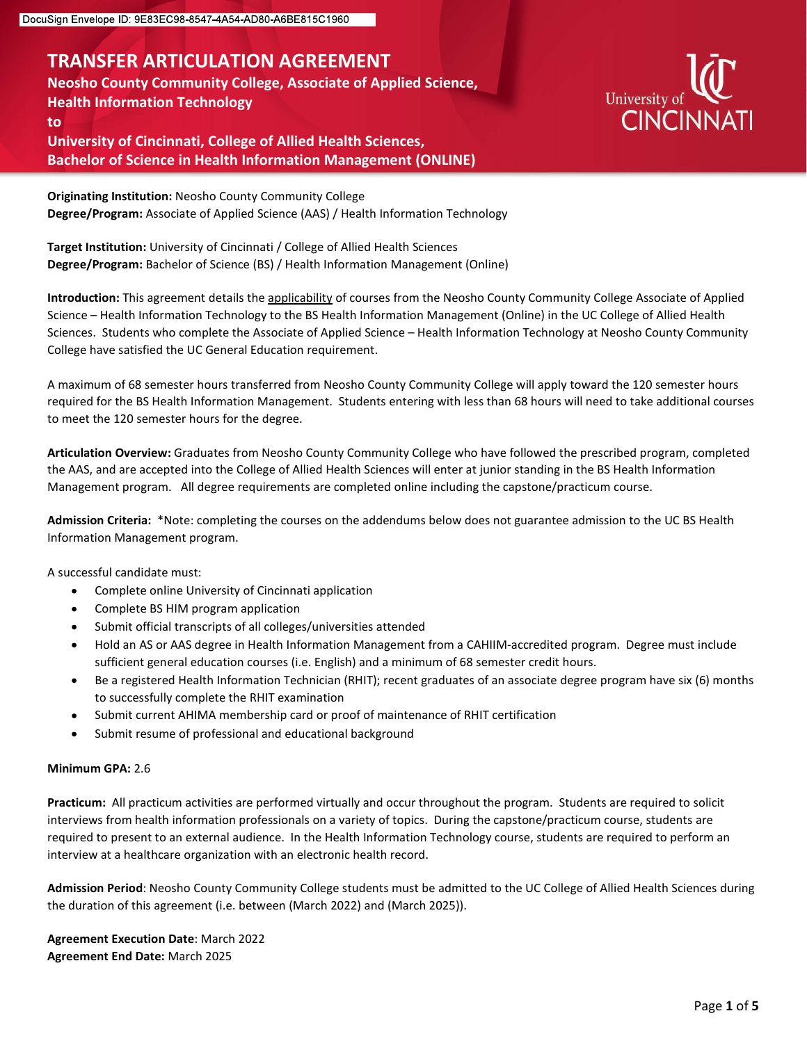## TRANSFER ARTICULATION AGREEMENT

Neosho County Community College, Associate of Applied Science, Health Information Technology to University of Cincinnati, College of Allied Health Sciences,

Bachelor of Science in Health Information Management (ONLINE)



Originating Institution: Neosho County Community College Degree/Program: Associate of Applied Science (AAS) / Health Information Technology

Target Institution: University of Cincinnati / College of Allied Health Sciences Degree/Program: Bachelor of Science (BS) / Health Information Management (Online)

Introduction: This agreement details the applicability of courses from the Neosho County Community College Associate of Applied Sign Smatriage Decemberation Management (Niline)<br>
Neash County Community College, Associate of Applied Science,<br>
Health Information Technology University of CINCINNATI<br>
University of Cincinnati, College of Allied Health Sc Sciences. Students who complete the Associate of Applied Science – Health Information Technology at Neosho County Community College have satisfied the UC General Education requirement.

A maximum of 68 semester hours transferred from Neosho County Community College will apply toward the 120 semester hours required for the BS Health Information Management. Students entering with less than 68 hours will need to take additional courses to meet the 120 semester hours for the degree.

Articulation Overview: Graduates from Neosho County Community College who have followed the prescribed program, completed the AAS, and are accepted into the College of Allied Health Sciences will enter at junior standing in the BS Health Information Management program. All degree requirements are completed online including the capstone/practicum course.

Admission Criteria: \*Note: completing the courses on the addendums below does not guarantee admission to the UC BS Health Information Management program.

A successful candidate must:

- Complete online University of Cincinnati application  $\bullet$
- Complete BS HIM program application
- Submit official transcripts of all colleges/universities attended
- Hold an AS or AAS degree in Health Information Management from a CAHIIM-accredited program. Degree must include sufficient general education courses (i.e. English) and a minimum of 68 semester credit hours.
- Be a registered Health Information Technician (RHIT); recent graduates of an associate degree program have six (6) months to successfully complete the RHIT examination
- Submit current AHIMA membership card or proof of maintenance of RHIT certification
- Submit resume of professional and educational background

#### Minimum GPA: 2.6

Practicum: All practicum activities are performed virtually and occur throughout the program. Students are required to solicit interviews from health information professionals on a variety of topics. During the capstone/practicum course, students are required to present to an external audience. In the Health Information Technology course, students are required to perform an interview at a healthcare organization with an electronic health record.

Admission Period: Neosho County Community College students must be admitted to the UC College of Allied Health Sciences during the duration of this agreement (i.e. between (March 2022) and (March 2025)).

Agreement Execution Date: March 2022 Agreement End Date: March 2025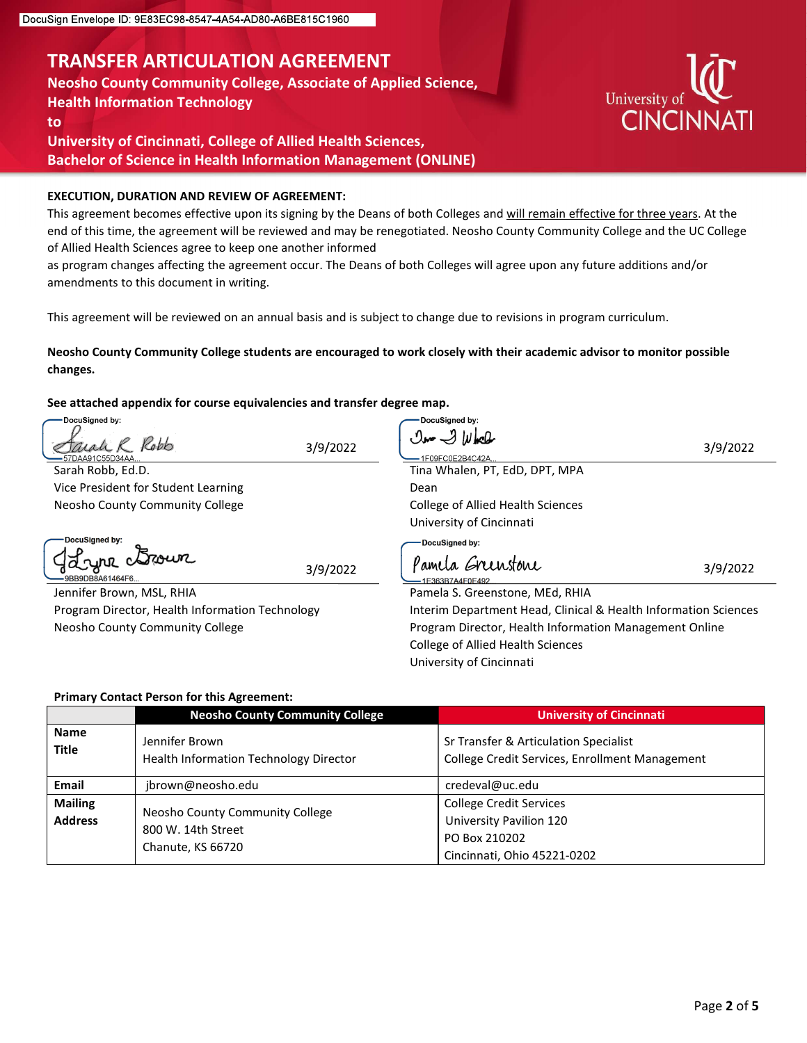## TRANSFER ARTICULATION AGREEMENT

Neosho County Community College, Associate of Applied Science, Health Information Technology

to

University of Cincinnati, College of Allied Health Sciences, Bachelor of Science in Health Information Management (ONLINE)

#### EXECUTION, DURATION AND REVIEW OF AGREEMENT:

This agreement becomes effective upon its signing by the Deans of both Colleges and will remain effective for three years. At the end of this time, the agreement will be reviewed and may be renegotiated. Neosho County Community College and the UC College of Allied Health Sciences agree to keep one another informed

as program changes affecting the agreement occur. The Deans of both Colleges will agree upon any future additions and/or amendments to this document in writing.

This agreement will be reviewed on an annual basis and is subject to change due to revisions in program curriculum.

#### Neosho County Community College students are encouraged to work closely with their academic advisor to monitor possible changes.

#### See attached appendix for course equivalencies and transfer degree map.

| DocuSigned by:                     |                                                   | DocuSigned by:                                                                          |          |
|------------------------------------|---------------------------------------------------|-----------------------------------------------------------------------------------------|----------|
|                                    | Robb<br>3/9/2022                                  | $\mathcal{O}$ and $\mathcal{O}$ $ y $ and $\mathcal{O}$                                 | 3/9/2022 |
| DAA91C55D34AA<br>Sarah Robb, Ed.D. |                                                   | 1F09FC0F2B4C42A<br>Tina Whalen, PT, EdD, DPT, MPA                                       |          |
|                                    | Vice President for Student Learning               | Dean                                                                                    |          |
|                                    | Neosho County Community College                   | College of Allied Health Sciences                                                       |          |
|                                    |                                                   | University of Cincinnati                                                                |          |
| DocuSigned by:                     |                                                   | DocuSigned by:                                                                          |          |
| 12 cyril<br>9BB9DB8A61464F6        | 3/9/2022                                          | Pamela Greenstone<br>E363B7A4F0F492                                                     | 3/9/2022 |
|                                    | Jennifer Brown, MSL, RHIA                         | Pamela S. Greenstone, MEd, RHIA                                                         |          |
|                                    | Program Director, Health Information Technology   | Interim Department Head, Clinical & Health Information Sciences                         |          |
|                                    | Neosho County Community College                   | Program Director, Health Information Management Online                                  |          |
|                                    |                                                   | <b>College of Allied Health Sciences</b>                                                |          |
|                                    |                                                   |                                                                                         |          |
|                                    |                                                   | University of Cincinnati                                                                |          |
|                                    |                                                   |                                                                                         |          |
|                                    | <b>Primary Contact Person for this Agreement:</b> |                                                                                         |          |
|                                    | <b>Neosho County Community College</b>            | <b>University of Cincinnati</b>                                                         |          |
| <b>Name</b>                        | Jennifer Brown                                    |                                                                                         |          |
| <b>Title</b>                       | Health Information Technology Director            | Sr Transfer & Articulation Specialist<br>College Credit Services, Enrollment Management |          |
| Email                              | jbrown@neosho.edu                                 | credeval@uc.edu                                                                         |          |
| <b>Mailing</b>                     |                                                   | <b>College Credit Services</b>                                                          |          |
| <b>Address</b>                     | Neosho County Community College                   | University Pavilion 120                                                                 |          |
|                                    | 800 W. 14th Street<br>Chanute, KS 66720           | PO Box 210202                                                                           |          |

#### Primary Contact Person for this Agreement:

|                                  | <b>Neosho County Community College</b>                                     | <b>University of Cincinnati</b>                                                                           |
|----------------------------------|----------------------------------------------------------------------------|-----------------------------------------------------------------------------------------------------------|
| <b>Name</b><br><b>Title</b>      | Jennifer Brown<br>Health Information Technology Director                   | Sr Transfer & Articulation Specialist<br>College Credit Services, Enrollment Management                   |
| <b>Email</b>                     | jbrown@neosho.edu                                                          | credeval@uc.edu                                                                                           |
| <b>Mailing</b><br><b>Address</b> | Neosho County Community College<br>800 W. 14th Street<br>Chanute, KS 66720 | <b>College Credit Services</b><br>University Pavilion 120<br>PO Box 210202<br>Cincinnati, Ohio 45221-0202 |

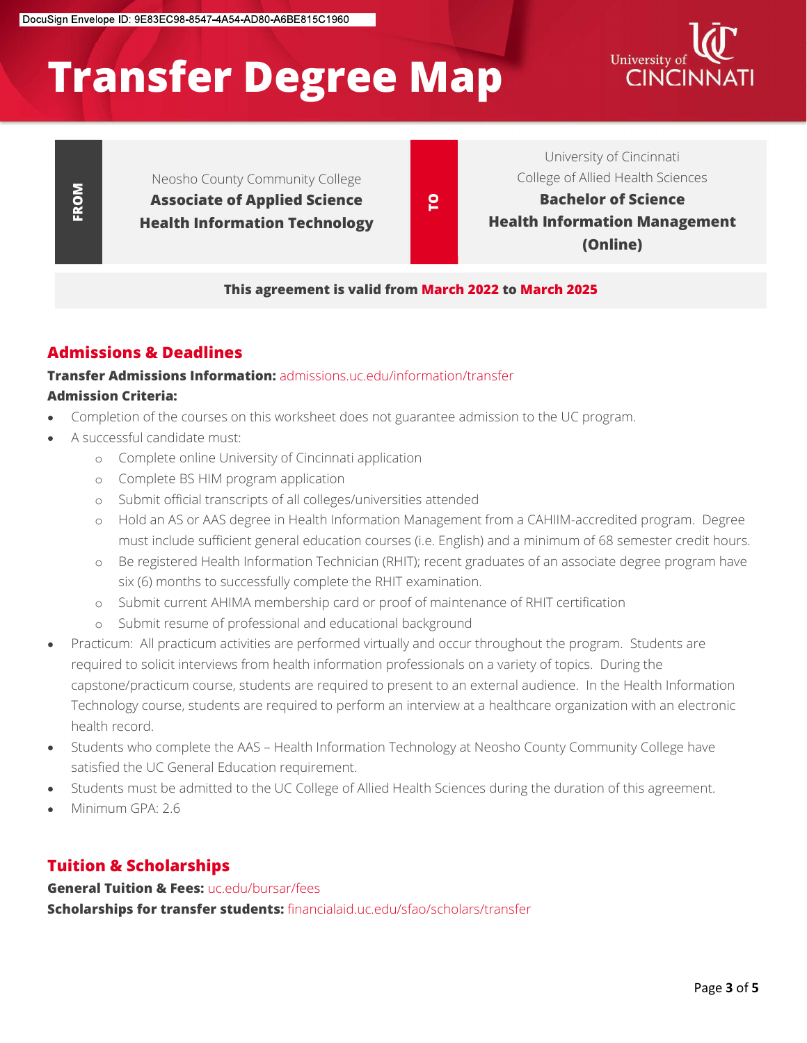# Transfer Degree Map CINCINNA



Neosho County Community College Associate of Applied Science

Associate of Applied Science **To Acke a Communist Bachelor of Science**<br>Health Information Technology **To Acke a Health Information Management** University of Cincinnati College of Allied Health Sciences Bachelor of Science (Online)

This agreement is valid from March 2022 to March 2025

#### Admissions & Deadlines

#### **Transfer Admissions Information:** admissions.uc.edu/information/transfer Admission Criteria:

- Completion of the courses on this worksheet does not guarantee admission to the UC program.
- A successful candidate must:
	- o Complete online University of Cincinnati application
	- o Complete BS HIM program application
	- o Submit official transcripts of all colleges/universities attended
	- o Hold an AS or AAS degree in Health Information Management from a CAHIIM-accredited program. Degree must include sufficient general education courses (i.e. English) and a minimum of 68 semester credit hours.
	- o Be registered Health Information Technician (RHIT); recent graduates of an associate degree program have six (6) months to successfully complete the RHIT examination.
	- o Submit current AHIMA membership card or proof of maintenance of RHIT certification
	- o Submit resume of professional and educational background
- **Example 18 of Applied Science**<br> **Health Information Technology**<br> **Health Information Technology**<br> **Health Information:**<br> **This agreement is valid from March 2022 to March 2023<br>
<b>This SCIENCE APPLE 2023**<br> **This SCIENCE APP** Practicum: All practicum activities are performed virtually and occur throughout the program. Students are required to solicit interviews from health information professionals on a variety of topics. During the capstone/practicum course, students are required to present to an external audience. In the Health Information Technology course, students are required to perform an interview at a healthcare organization with an electronic health record.
- Students who complete the AAS Health Information Technology at Neosho County Community College have satisfied the UC General Education requirement.
- Students must be admitted to the UC College of Allied Health Sciences during the duration of this agreement.
- Minimum GPA: 2.6

#### Tuition & Scholarships

**General Tuition & Fees: uc.edu/bursar/fees** Scholarships for transfer students: financialaid.uc.edu/sfao/scholars/transfer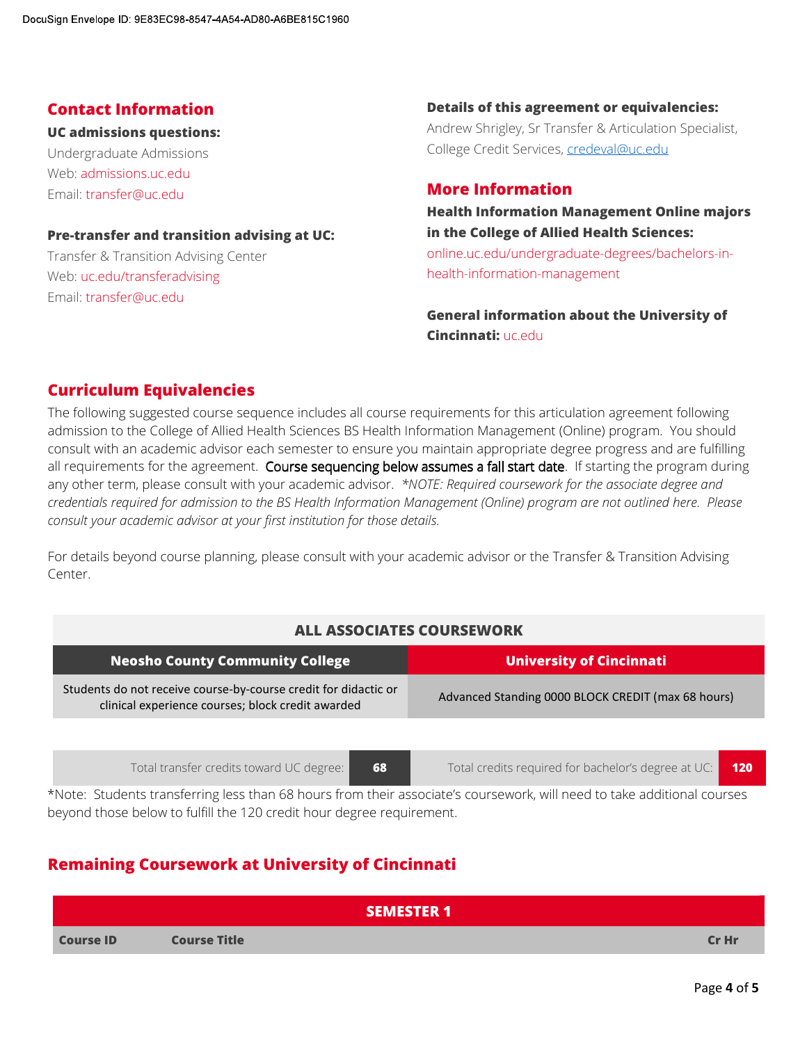#### UC admissions questions:

Undergraduate Admissions Web: admissions.uc.edu Email: transfer@uc.edu

Sign Envelope ID: 9E83EC98-8547-4A54-AD80-A6BE815C1960<br> **Contact Information**<br> **UC admissions questions:**<br>
Undergraduate Admissions<br>
Web: admissions weedu<br>
Email: transfer@uc.edu<br> **Pre-transfer and transition advising at U** Transfer & Transition Advising Center Web: uc.edu/transferadvising Email: transfer@uc.edu

# **Contact Information Contact Information Contact Information Details of this agreement or equivalencies:**<br>Andrew Shrigley, Sr Transfer & Articulation Specialist,<br>College Credit Services, <u>credeval@uc.edu</u><br>More Information **Details of this agreement or equivalencies:**<br>Andrew Shrigley, Sr Transfer & Articulation Specialist,<br>College Credit Services, <u>credeval@uc.edu</u><br>Health Information Management Online majors College Credit Services, credeval@uc.edu **Details of this agreement or equivalencies:**<br>Andrew Shrigley, Sr Transfer & Articulation Specialist,<br>College Credit Services, <u>credeval@uc.edu</u><br>**More Information**<br>**Health Information Management Online majors**<br>in the Colle

#### More Information

in the College of Allied Health Sciences:

online.uc.edu/undergraduate-degrees/bachelors-inhealth-information-management

General information about the University of Cincinnati: uc.edu.

#### Curriculum Equivalencies

The following suggested course sequence includes all course requirements for this articulation agreement following admission to the College of Allied Health Sciences BS Health Information Management (Online) program. You should consult with an academic advisor each semester to ensure you maintain appropriate degree progress and are fulfilling all requirements for the agreement. Course sequencing below assumes a fall start date. If starting the program during any other term, please consult with your academic advisor. \*NOTE: Required coursework for the associate degree and credentials required for admission to the BS Health Information Management (Online) program are not outlined here. Please consult your academic advisor at your first institution for those details.

For details beyond course planning, please consult with your academic advisor or the Transfer & Transition Advising Center.

#### ALL ASSOCIATES COURSEWORK

| <b>ALL ASSOCIATES COURSEWORK</b> |                                                                                                                      |                                                                                                                         |
|----------------------------------|----------------------------------------------------------------------------------------------------------------------|-------------------------------------------------------------------------------------------------------------------------|
|                                  | <b>Neosho County Community College</b>                                                                               | <b>University of Cincinnati</b>                                                                                         |
|                                  | Students do not receive course-by-course credit for didactic or<br>clinical experience courses; block credit awarded | Advanced Standing 0000 BLOCK CREDIT (max 68 hours)                                                                      |
|                                  |                                                                                                                      |                                                                                                                         |
|                                  | Total transfer credits toward UC degree:<br>68                                                                       | Total credits required for bachelor's degree at UC:<br><b>120</b>                                                       |
|                                  | beyond those below to fulfill the 120 credit hour degree requirement.                                                | *Note: Students transferring less than 68 hours from their associate's coursework, will need to take additional courses |
|                                  | <b>Remaining Coursework at University of Cincinnati</b>                                                              |                                                                                                                         |
|                                  | <b>SEMESTER 1</b>                                                                                                    |                                                                                                                         |
| <b>Course ID</b>                 | <b>Course Title</b>                                                                                                  | Cr Hr                                                                                                                   |
|                                  |                                                                                                                      | Page 4 of 5                                                                                                             |
|                                  |                                                                                                                      |                                                                                                                         |

#### Remaining Coursework at University of Cincinnati

|                  | <b>SEMESTER 1</b>   |       |
|------------------|---------------------|-------|
| <b>Course ID</b> | <b>Course Title</b> | Cr Hr |